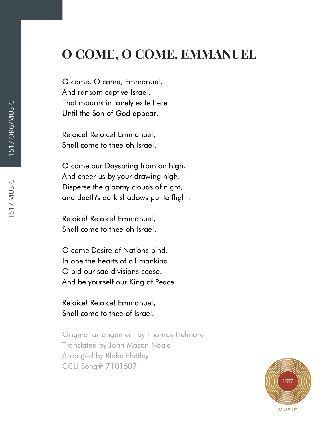### **O COME, O COME, EMMANUEL**

O come, O come, Emmanuel, And ransom captive Israel, That mourns in lonely exile here Until the Son of God appear.

Rejoice! Rejoice! Emmanuel, Shall come to thee oh Israel.

O come our Dayspring from on high. And cheer us by your drawing nigh. Disperse the gloomy clouds of night, and death's dark shadows put to flight.

Rejoice! Rejoice! Emmanuel, Shall come to thee oh Israel.

O come Desire of Nations bind. In one the hearts of all mankind. O bid our sad divisions cease. And be yourself our King of Peace.

Rejoice! Rejoice! Emmanuel, Shall come to thee of Israel.

Original arrangement by Thomas Helmore Translated by John Mason Neale Arranged by Blake Flattley CCLI Song# 7101507

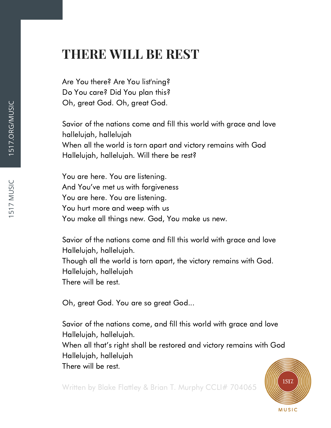#### **THERE WILL BE REST**

Are You there? Are You list'ning? Do You care? Did You plan this? Oh, great God. Oh, great God.

Savior of the nations come and fill this world with grace and love hallelujah, hallelujah When all the world is torn apart and victory remains with God Hallelujah, hallelujah. Will there be rest?

You are here. You are listening. And You've met us with forgiveness You are here. You are listening. You hurt more and weep with us You make all things new. God, You make us new.

Savior of the nations come and fill this world with grace and love Hallelujah, hallelujah. Though all the world is torn apart, the victory remains with God. Hallelujah, hallelujah There will be rest.

Oh, great God. You are so great God...

Savior of the nations come, and fill this world with grace and love Hallelujah, hallelujah.

When all that's right shall be restored and victory remains with God Hallelujah, hallelujah

There will be rest.

1517

 $\geq$  $\supset$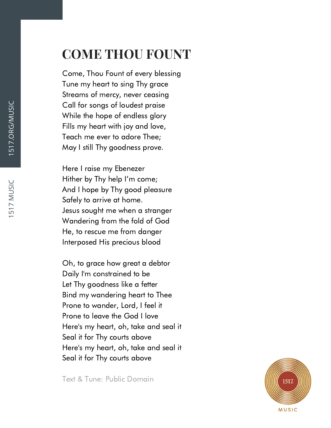# **COME THOU FOUNT**

Come, Thou Fount of every blessing Tune my heart to sing Thy grace Streams of mercy, never ceasing Call for songs of loudest praise While the hope of endless glory Fills my heart with joy and love, Teach me ever to adore Thee; May I still Thy goodness prove.

Here I raise my Ebenezer Hither by Thy help I'm come; And I hope by Thy good pleasure Safely to arrive at home. Jesus sought me when a stranger Wandering from the fold of God He, to rescue me from danger Interposed His precious blood

Oh, to grace how great a debtor Daily I'm constrained to be Let Thy goodness like a fetter Bind my wandering heart to Thee Prone to wander, Lord, I feel it Prone to leave the God I love Here's my heart, oh, take and seal it Seal it for Thy courts above Here's my heart, oh, take and seal it Seal it for Thy courts above

Text & Tune: Public Domain

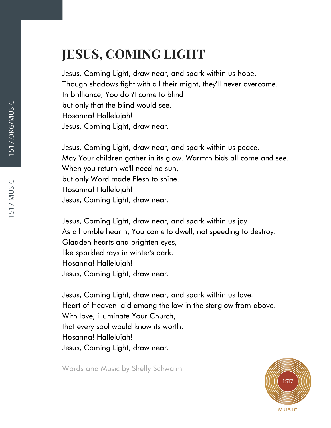# **JESUS, COMING LIGHT**

Jesus, Coming Light, draw near, and spark within us hope. Though shadows fight with all their might, they'll never overcome. In brilliance, You don't come to blind but only that the blind would see. Hosanna! Hallelujah! Jesus, Coming Light, draw near.

Jesus, Coming Light, draw near, and spark within us peace. May Your children gather in its glow. Warmth bids all come and see. When you return we'll need no sun, but only Word made Flesh to shine. Hosanna! Hallelujah! Jesus, Coming Light, draw near.

Jesus, Coming Light, draw near, and spark within us joy. As a humble hearth, You come to dwell, not speeding to destroy. Gladden hearts and brighten eyes, like sparkled rays in winter's dark. Hosanna! Hallelujah! Jesus, Coming Light, draw near.

Jesus, Coming Light, draw near, and spark within us love. Heart of Heaven laid among the low in the starglow from above. With love, illuminate Your Church, that every soul would know its worth. Hosanna! Hallelujah! Jesus, Coming Light, draw near.

Words and Music by Shelly Schwalm

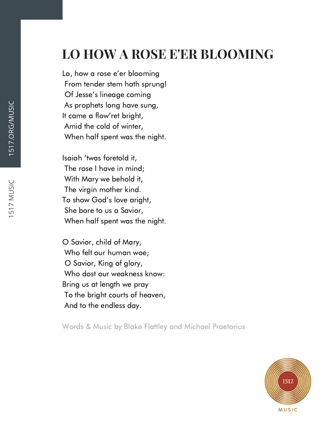# **LO HOW A ROSE E'ER BLOOMING**

Lo, how a rose e'er blooming From tender stem hath sprung! Of Jesse's lineage coming As prophets long have sung, It came a flow'ret bright, Amid the cold of winter, When half spent was the night.

Isaiah 'twas foretold it, The rose I have in mind; With Mary we behold it, The virgin mother kind. To show God's love aright, She bore to us a Savior, When half spent was the night.

O Savior, child of Mary, Who felt our human woe; O Savior, King of glory, Who dost our weakness know: Bring us at length we pray To the bright courts of heaven, And to the endless day.

Words & Music by Blake Flattley and Michael Praetorius

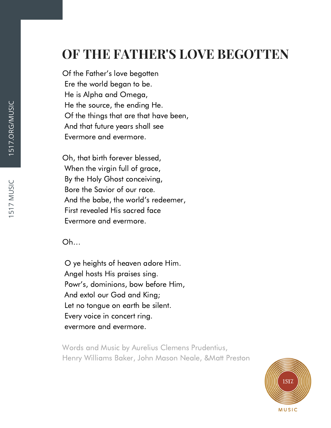# **OF THE FATHER'S LOVE BEGOTTEN**

Of the Father's love begotten Ere the world began to be. He is Alpha and Omega, He the source, the ending He. Of the things that are that have been, And that future years shall see Evermore and evermore.

Oh, that birth forever blessed, When the virgin full of grace, By the Holy Ghost conceiving, Bore the Savior of our race. And the babe, the world's redeemer, First revealed His sacred face Evermore and evermore.

Oh…

O ye heights of heaven adore Him. Angel hosts His praises sing. Powr's, dominions, bow before Him, And extol our God and King; Let no tongue on earth be silent. Every voice in concert ring. evermore and evermore.

Words and Music by Aurelius Clemens Prudentius, Henry Williams Baker, John Mason Neale, &Matt Preston

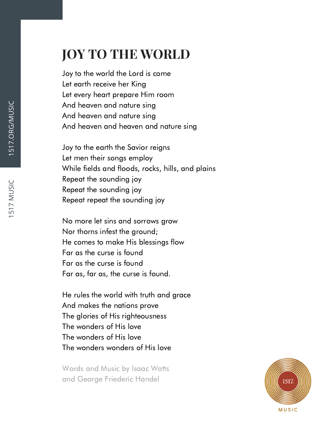# **JOY TO THE WORLD**

Joy to the world the Lord is come Let earth receive her King Let every heart prepare Him room And heaven and nature sing And heaven and nature sing And heaven and heaven and nature sing

Joy to the earth the Savior reigns Let men their songs employ While fields and floods, rocks, hills, and plains Repeat the sounding joy Repeat the sounding joy Repeat repeat the sounding joy

No more let sins and sorrows grow Nor thorns infest the ground; He comes to make His blessings flow Far as the curse is found Far as the curse is found Far as, far as, the curse is found.

He rules the world with truth and grace And makes the nations prove The glories of His righteousness The wonders of His love The wonders of His love The wonders wonders of His love

Words and Music by Isaac Watts and George Friederic Handel

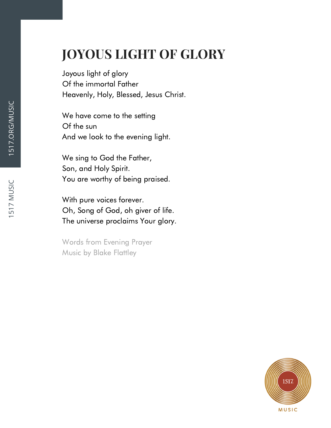# **JOYOUS LIGHT OF GLORY**

Joyous light of glory Of the immortal Father Heavenly, Holy, Blessed, Jesus Christ.

We have come to the setting Of the sun And we look to the evening light.

We sing to God the Father, Son, and Holy Spirit. You are worthy of being praised.

With pure voices forever. Oh, Song of God, oh giver of life. The universe proclaims Your glory.

Words from Evening Prayer Music by Blake Flattley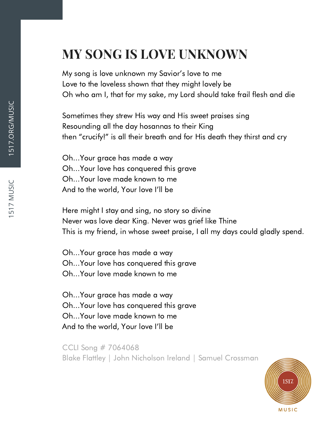# **MY SONG IS LOVE UNKNOWN**

My song is love unknown my Savior's love to me Love to the loveless shown that they might lovely be Oh who am I, that for my sake, my Lord should take frail flesh and die

Sometimes they strew His way and His sweet praises sing Resounding all the day hosannas to their King then "crucify!" is all their breath and for His death they thirst and cry

Oh...Your grace has made a way Oh...Your love has conquered this grave Oh...Your love made known to me And to the world, Your love I'll be

Here might I stay and sing, no story so divine Never was love dear King. Never was grief like Thine This is my friend, in whose sweet praise, I all my days could gladly spend.

Oh...Your grace has made a way Oh...Your love has conquered this grave Oh...Your love made known to me

Oh...Your grace has made a way Oh...Your love has conquered this grave Oh...Your love made known to me And to the world, Your love I'll be

CCLI Song # 7064068 Blake Flattley | John Nicholson Ireland | Samuel Crossman

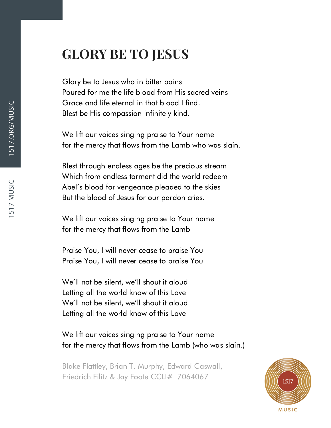### **GLORY BE TO JESUS**

Glory be to Jesus who in bitter pains Poured for me the life blood from His sacred veins Grace and life eternal in that blood I find. Blest be His compassion infinitely kind.

We lift our voices singing praise to Your name for the mercy that flows from the Lamb who was slain.

Blest through endless ages be the precious stream Which from endless torment did the world redeem Abel's blood for vengeance pleaded to the skies But the blood of Jesus for our pardon cries.

We lift our voices singing praise to Your name for the mercy that flows from the Lamb

Praise You, I will never cease to praise You Praise You, I will never cease to praise You

We'll not be silent, we'll shout it aloud Letting all the world know of this Love We'll not be silent, we'll shout it aloud Letting all the world know of this Love

We lift our voices singing praise to Your name for the mercy that flows from the Lamb (who was slain.)

Blake Flattley, Brian T. Murphy, Edward Caswall, Friedrich Filitz & Jay Foote CCLI# 7064067

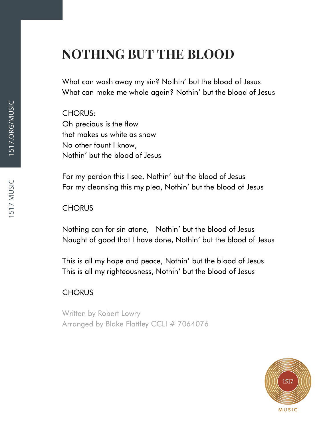### **NOTHING BUT THE BLOOD**

What can wash away my sin? Nothin' but the blood of Jesus What can make me whole again? Nothin' but the blood of Jesus

CHORUS: Oh precious is the flow that makes us white as snow No other fount I know, Nothin' but the blood of Jesus

For my pardon this I see, Nothin' but the blood of Jesus For my cleansing this my plea, Nothin' but the blood of Jesus

#### **CHORUS**

Nothing can for sin atone, Nothin' but the blood of Jesus Naught of good that I have done, Nothin' but the blood of Jesus

This is all my hope and peace, Nothin' but the blood of Jesus This is all my righteousness, Nothin' but the blood of Jesus

#### **CHORUS**

Written by Robert Lowry Arranged by Blake Flattley CCLI # 7064076

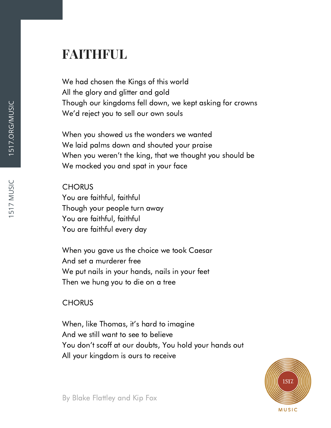# **FAITHFUL**

We had chosen the Kings of this world All the glory and glitter and gold Though our kingdoms fell down, we kept asking for crowns We'd reject you to sell our own souls

When you showed us the wonders we wanted We laid palms down and shouted your praise When you weren't the king, that we thought you should be We mocked you and spat in your face

**CHORUS** You are faithful, faithful Though your people turn away You are faithful, faithful You are faithful every day

When you gave us the choice we took Caesar And set a murderer free We put nails in your hands, nails in your feet Then we hung you to die on a tree

#### **CHORUS**

When, like Thomas, it's hard to imagine And we still want to see to believe You don't scoff at our doubts, You hold your hands out All your kingdom is ours to receive

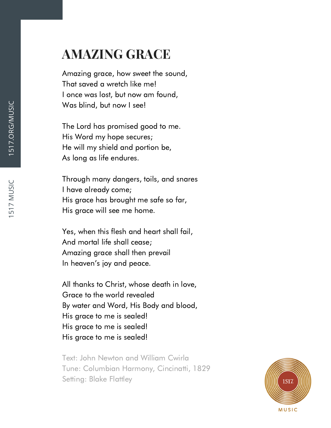#### **AMAZING GRACE**

Amazing grace, how sweet the sound, That saved a wretch like me! I once was lost, but now am found, Was blind, but now I see!

The Lord has promised good to me. His Word my hope secures; He will my shield and portion be, As long as life endures.

Through many dangers, toils, and snares I have already come; His grace has brought me safe so far, His grace will see me home.

Yes, when this flesh and heart shall fail, And mortal life shall cease; Amazing grace shall then prevail In heaven's joy and peace.

All thanks to Christ, whose death in love, Grace to the world revealed By water and Word, His Body and blood, His grace to me is sealed! His grace to me is sealed! His grace to me is sealed!

Text: John Newton and William Cwirla Tune: Columbian Harmony, Cincinatti, 1829 Setting: Blake Flattley

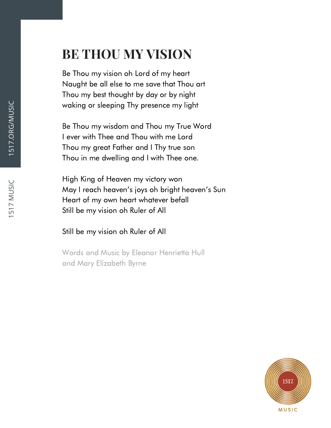### **BE THOU MY VISION**

Be Thou my vision oh Lord of my heart Naught be all else to me save that Thou art Thou my best thought by day or by night waking or sleeping Thy presence my light

Be Thou my wisdom and Thou my True Word I ever with Thee and Thou with me Lord Thou my great Father and I Thy true son Thou in me dwelling and I with Thee one.

High King of Heaven my victory won May I reach heaven's joys oh bright heaven's Sun Heart of my own heart whatever befall Still be my vision oh Ruler of All

#### Still be my vision oh Ruler of All

Words and Music by Eleanor Henrietta Hull and Mary Elizabeth Byrne

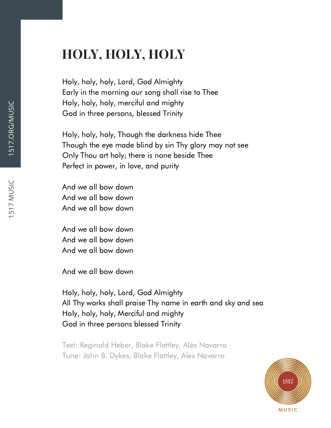# **HOLY, HOLY, HOLY**

Holy, holy, holy, Lord, God Almighty Early in the morning our song shall rise to Thee Holy, holy, holy, merciful and mighty God in three persons, blessed Trinity

Holy, holy, holy, Though the darkness hide Thee Though the eye made blind by sin Thy glory may not see Only Thou art holy; there is none beside Thee Perfect in power, in love, and purity

And we all bow down And we all bow down And we all bow down

And we all bow down And we all bow down And we all bow down

And we all bow down

Holy, holy, holy, Lord, God Almighty All Thy works shall praise Thy name in earth and sky and sea Holy, holy, holy, Merciful and mighty God in three persons blessed Trinity

Text: Reginald Heber, Blake Flattley, Alex Navarro Tune: John B. Dykes, Blake Flattley, Alex Navarro

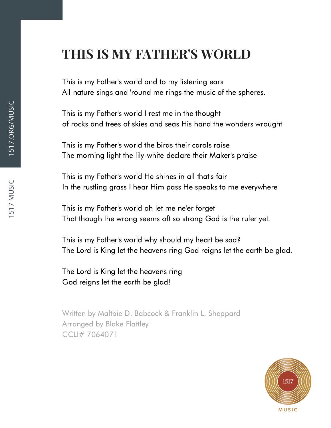#### **THIS IS MY FATHER'S WORLD**

This is my Father's world and to my listening ears All nature sings and 'round me rings the music of the spheres.

This is my Father's world I rest me in the thought of rocks and trees of skies and seas His hand the wonders wrought

This is my Father's world the birds their carols raise The morning light the lily-white declare their Maker's praise

This is my Father's world He shines in all that's fair In the rustling grass I hear Him pass He speaks to me everywhere

This is my Father's world oh let me ne'er forget That though the wrong seems oft so strong God is the ruler yet.

This is my Father's world why should my heart be sad? The Lord is King let the heavens ring God reigns let the earth be glad.

The Lord is King let the heavens ring God reigns let the earth be glad!

Written by Maltbie D. Babcock & Franklin L. Sheppard Arranged by Blake Flattley CCLI# 7064071

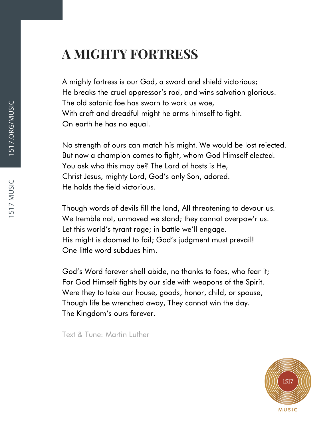# **A MIGHTY FORTRESS**

A mighty fortress is our God, a sword and shield victorious; He breaks the cruel oppressor's rod, and wins salvation glorious. The old satanic foe has sworn to work us woe, With craft and dreadful might he arms himself to fight. On earth he has no equal.

No strength of ours can match his might. We would be lost rejected. But now a champion comes to fight, whom God Himself elected. You ask who this may be? The Lord of hosts is He, Christ Jesus, mighty Lord, God's only Son, adored. He holds the field victorious.

Though words of devils fill the land, All threatening to devour us. We tremble not, unmoved we stand; they cannot overpow'r us. Let this world's tyrant rage; in battle we'll engage. His might is doomed to fail; God's judgment must prevail! One little word subdues him.

God's Word forever shall abide, no thanks to foes, who fear it; For God Himself fights by our side with weapons of the Spirit. Were they to take our house, goods, honor, child, or spouse, Though life be wrenched away, They cannot win the day. The Kingdom's ours forever.

Text & Tune: Martin Luther

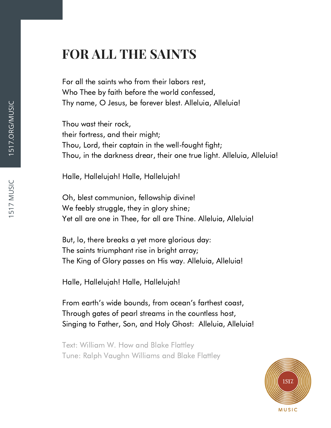#### **FOR ALL THE SAINTS**

For all the saints who from their labors rest, Who Thee by faith before the world confessed, Thy name, O Jesus, be forever blest. Alleluia, Alleluia!

Thou wast their rock, their fortress, and their might; Thou, Lord, their captain in the well-fought fight; Thou, in the darkness drear, their one true light. Alleluia, Alleluia!

Halle, Hallelujah! Halle, Hallelujah!

Oh, blest communion, fellowship divine! We feebly struggle, they in glory shine; Yet all are one in Thee, for all are Thine. Alleluia, Alleluia!

But, lo, there breaks a yet more glorious day: The saints triumphant rise in bright array; The King of Glory passes on His way. Alleluia, Alleluia!

Halle, Hallelujah! Halle, Hallelujah!

From earth's wide bounds, from ocean's farthest coast, Through gates of pearl streams in the countless host, Singing to Father, Son, and Holy Ghost: Alleluia, Alleluia!

Text: William W. How and Blake Flattley Tune: Ralph Vaughn Williams and Blake Flattley

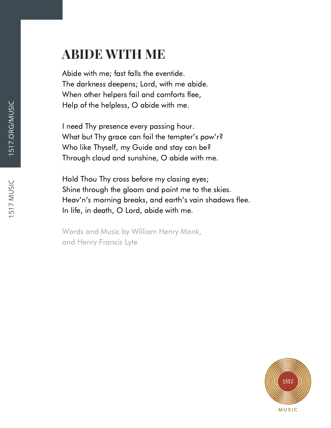### **ABIDE WITH ME**

Abide with me; fast falls the eventide. The darkness deepens; Lord, with me abide. When other helpers fail and comforts flee, Help of the helpless, O abide with me.

I need Thy presence every passing hour. What but Thy grace can foil the tempter's pow'r? Who like Thyself, my Guide and stay can be? Through cloud and sunshine, O abide with me.

Hold Thou Thy cross before my closing eyes; Shine through the gloom and point me to the skies. Heav'n's morning breaks, and earth's vain shadows flee. In life, in death, O Lord, abide with me.

Words and Music by William Henry Monk, and Henry Francis Lyte